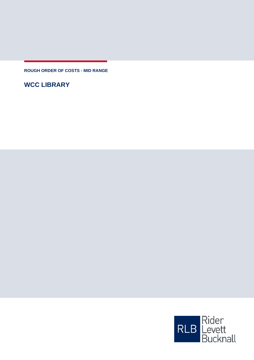**ROUGH ORDER OF COSTS - MID RANGE**

**WCC LIBRARY**

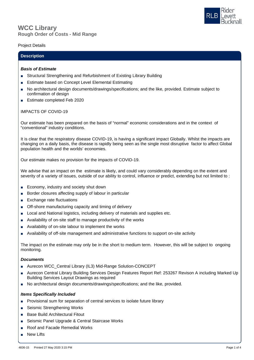# **Rough Order of Costs - Mid Range WCC Library**

## Project Details

# **Description**

#### *Basis of Estimate*

- Structural Strengthening and Refurbishment of Existing Library Building
- Estimate based on Concept Level Elemental Estimating
- No architectural design documents/drawings/specifications; and the like, provided. Estimate subject to confirmation of design
- Estimate completed Feb 2020

## IMPACTS OF COVID-19

Our estimate has been prepared on the basis of "normal" economic considerations and in the context of "conventional" industry conditions.

It is clear that the respiratory disease COVID-19, is having a significant impact Globally. Whilst the impacts are changing on a daily basis, the disease is rapidly being seen as the single most disruptive factor to affect Global population health and the worlds' economies.

Our estimate makes no provision for the impacts of COVID-19.

We advise that an impact on the estimate is likely, and could vary considerably depending on the extent and severity of a variety of issues, outside of our ability to control, influence or predict, extending but not limited to :

- Economy, industry and society shut down
- Border closures affecting supply of labour in particular
- Exchange rate fluctuations
- Off-shore manufacturing capacity and timing of delivery
- Local and National logistics, including delivery of materials and supplies etc.
- Availability of on-site staff to manage productivity of the works
- Availability of on-site labour to implement the works
- Availability of off-site management and administrative functions to support on-site activity

The impact on the estimate may only be in the short to medium term. However, this will be subject to ongoing monitoring.

#### *Documents*

- Aurecon WCC\_Central Library (IL3) Mid-Range Solution-CONCEPT
- Aurecon Central Library Building Services Design Features Report Ref: 253267 Revison A including Marked Up Building Services Layout Drawings as required
- No architectural design documents/drawings/specifications; and the like, provided.

## *Items Specifically Included*

- Provisional sum for separation of central services to isolate future library
- Seismic Strengthening Works
- Base Build Architectural Fitout
- Seismic Panel Upgrade & Central Staircase Works
- Roof and Facade Remedial Works
- **New Lifts**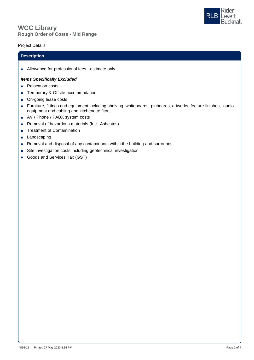



# Project Details

#### **Description**

■ Allowance for professional fees - estimate only

#### *Items Specifically Excluded*

- Relocation costs
- Temporary & Offsite accommodation
- On-going lease costs
- Furniture, fittings and equipment including shelving, whiteboards, pinboards, artworks, feature finishes, audio equipment and cabling and kitchenette fitout
- AV / Phone / PABX system costs
- Removal of hazardous materials (Incl. Asbestos)
- Treatment of Contamination
- Landscaping
- Removal and disposal of any contaminants within the building and surrounds
- Site investigation costs including geotechnical investigation
- Goods and Services Tax (GST)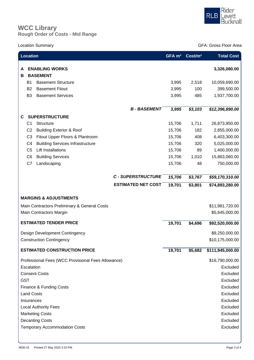

# **Rough Order of Costs - Mid Range WCC Library**

Location Summary GFA: Gross Floor Area

| <b>Location</b>                                                                                             |                |                                                    |                           | GFA m <sup>2</sup> | Cost/m <sup>2</sup> | <b>Total Cost</b>                 |
|-------------------------------------------------------------------------------------------------------------|----------------|----------------------------------------------------|---------------------------|--------------------|---------------------|-----------------------------------|
| A<br>в                                                                                                      |                | <b>ENABLING WORKS</b><br><b>BASEMENT</b>           |                           |                    |                     | 3,326,080.00                      |
|                                                                                                             | <b>B1</b>      | <b>Basement Structure</b>                          |                           | 3,995              | 2,518               | 10,059,690.00                     |
|                                                                                                             | <b>B2</b>      | <b>Basement Fitout</b>                             |                           | 3,995              | 100                 | 399,500.00                        |
|                                                                                                             | B <sub>3</sub> | <b>Basement Services</b>                           |                           | 3,995              | 485                 | 1,937,700.00                      |
|                                                                                                             |                |                                                    |                           |                    |                     |                                   |
|                                                                                                             |                |                                                    | <b>B-BASEMENT</b>         | 3,995              | $\sqrt{$3,103}$     | \$12,396,890.00                   |
| C.                                                                                                          |                | <b>SUPERSTRUCTURE</b>                              |                           |                    |                     |                                   |
|                                                                                                             | C <sub>1</sub> | Structure                                          |                           | 15,706             | 1,711               | 26,873,950.00                     |
|                                                                                                             | C <sub>2</sub> | <b>Building Exterior &amp; Roof</b>                |                           | 15,706             | 182                 | 2,855,000.00                      |
|                                                                                                             | C <sub>3</sub> | Fitout Upper Floors & Plantroom                    |                           | 15,706             | 408                 | 6,403,300.00                      |
|                                                                                                             | C <sub>4</sub> | <b>Building Services Infrastructure</b>            |                           | 15,706             | 320                 | 5,025,000.00                      |
|                                                                                                             | C <sub>5</sub> | <b>Lift Installations</b>                          |                           | 15,706             | 89                  | 1,400,000.00                      |
|                                                                                                             | C <sub>6</sub> | <b>Building Services</b>                           |                           | 15,706             | 1,010               | 15,863,060.00                     |
|                                                                                                             | C7             | Landscaping                                        |                           | 15,706             | 48                  | 750,000.00                        |
|                                                                                                             |                |                                                    | <b>C - SUPERSTRUCTURE</b> | 15,706             | \$3,767             | \$59,170,310.00                   |
|                                                                                                             |                |                                                    | <b>ESTIMATED NET COST</b> | 19,701             | \$3,801             | $\overline{$}74,893,280.00$       |
| <b>MARGINS &amp; ADJUSTMENTS</b><br>Main Contractors Preliminary & General Costs<br>Main Contractors Margin |                |                                                    |                           |                    |                     | \$11,981,720.00<br>\$5,645,000.00 |
| <b>ESTIMATED TENDER PRICE</b>                                                                               |                |                                                    | 19,701                    | \$4,696            | \$92,520,000.00     |                                   |
| Design Development Contingency                                                                              |                |                                                    |                           |                    | \$9,250,000.00      |                                   |
| <b>Construction Contingency</b>                                                                             |                |                                                    |                           |                    |                     | \$10,175,000.00                   |
| <b>ESTIMATED CONSTRUCTION PRICE</b>                                                                         |                |                                                    |                           |                    | \$5,682             | \$111,945,000.00                  |
|                                                                                                             |                | Professional Fees (WCC Provisional Fees Allowance) |                           |                    |                     | \$16,790,000.00                   |
| Escalation                                                                                                  |                |                                                    |                           |                    |                     | Excluded                          |
| <b>Consent Costs</b>                                                                                        |                |                                                    |                           |                    |                     | Excluded                          |
| <b>GST</b>                                                                                                  |                |                                                    |                           |                    |                     | Excluded                          |
| Finance & Funding Costs                                                                                     |                |                                                    |                           |                    | Excluded            |                                   |
| <b>Land Costs</b>                                                                                           |                |                                                    |                           |                    |                     | Excluded                          |
| Insurances                                                                                                  |                |                                                    |                           |                    | Excluded            |                                   |
| <b>Local Authority Fees</b>                                                                                 |                |                                                    |                           |                    |                     | Excluded                          |
| <b>Marketing Costs</b>                                                                                      |                |                                                    |                           |                    | Excluded            |                                   |
| <b>Decanting Costs</b>                                                                                      |                |                                                    |                           |                    | Excluded            |                                   |
|                                                                                                             |                | <b>Temporary Accommodation Costs</b>               |                           |                    |                     | Excluded                          |